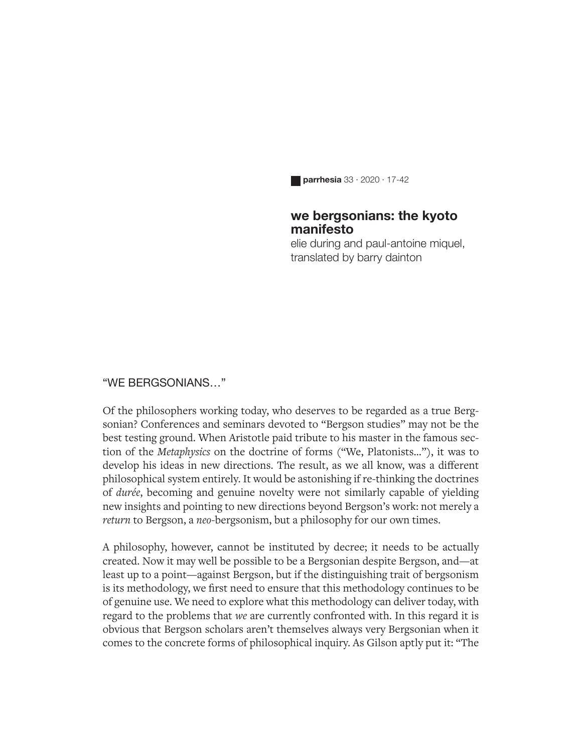**parrhesia** 33 · 2020 · 17-42

## **we bergsonians: the kyoto manifesto**

elie during and paul-antoine miquel, translated by barry dainton

#### "WE BERGSONIANS…"

Of the philosophers working today, who deserves to be regarded as a true Bergsonian? Conferences and seminars devoted to "Bergson studies" may not be the best testing ground. When Aristotle paid tribute to his master in the famous section of the *Metaphysics* on the doctrine of forms ("We, Platonists…"), it was to develop his ideas in new directions. The result, as we all know, was a different philosophical system entirely. It would be astonishing if re-thinking the doctrines of *durée*, becoming and genuine novelty were not similarly capable of yielding new insights and pointing to new directions beyond Bergson's work: not merely a *return* to Bergson, a *neo-*bergsonism, but a philosophy for our own times.

A philosophy, however, cannot be instituted by decree; it needs to be actually created. Now it may well be possible to be a Bergsonian despite Bergson, and—at least up to a point—against Bergson, but if the distinguishing trait of bergsonism is its methodology, we first need to ensure that this methodology continues to be of genuine use. We need to explore what this methodology can deliver today, with regard to the problems that *we* are currently confronted with. In this regard it is obvious that Bergson scholars aren't themselves always very Bergsonian when it comes to the concrete forms of philosophical inquiry. As Gilson aptly put it: "The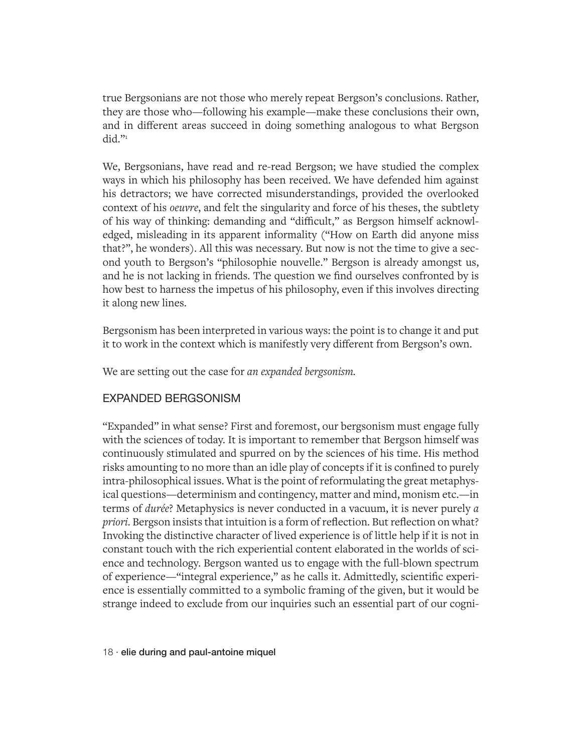true Bergsonians are not those who merely repeat Bergson's conclusions. Rather, they are those who—following his example—make these conclusions their own, and in different areas succeed in doing something analogous to what Bergson did. $"$ 

We, Bergsonians, have read and re-read Bergson; we have studied the complex ways in which his philosophy has been received. We have defended him against his detractors; we have corrected misunderstandings, provided the overlooked context of his *oeuvre*, and felt the singularity and force of his theses, the subtlety of his way of thinking: demanding and "difficult," as Bergson himself acknowledged, misleading in its apparent informality ("How on Earth did anyone miss that?", he wonders). All this was necessary. But now is not the time to give a second youth to Bergson's "philosophie nouvelle." Bergson is already amongst us, and he is not lacking in friends. The question we find ourselves confronted by is how best to harness the impetus of his philosophy, even if this involves directing it along new lines.

Bergsonism has been interpreted in various ways: the point is to change it and put it to work in the context which is manifestly very different from Bergson's own.

We are setting out the case for *an expanded bergsonism.*

## EXPANDED BERGSONISM

"Expanded" in what sense? First and foremost, our bergsonism must engage fully with the sciences of today. It is important to remember that Bergson himself was continuously stimulated and spurred on by the sciences of his time. His method risks amounting to no more than an idle play of concepts if it is confined to purely intra-philosophical issues. What is the point of reformulating the great metaphysical questions—determinism and contingency, matter and mind, monism etc.—in terms of *durée*? Metaphysics is never conducted in a vacuum, it is never purely *a priori*. Bergson insists that intuition is a form of reflection. But reflection on what? Invoking the distinctive character of lived experience is of little help if it is not in constant touch with the rich experiential content elaborated in the worlds of science and technology. Bergson wanted us to engage with the full-blown spectrum of experience—"integral experience," as he calls it. Admittedly, scientific experience is essentially committed to a symbolic framing of the given, but it would be strange indeed to exclude from our inquiries such an essential part of our cogni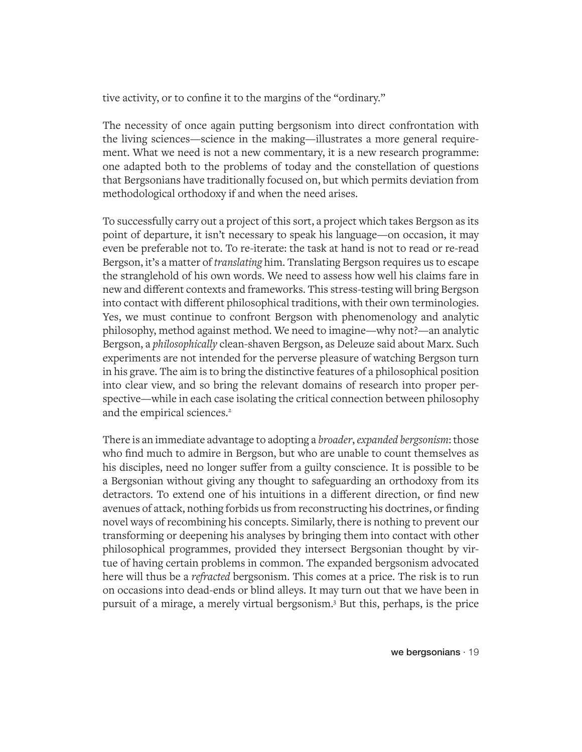tive activity, or to confine it to the margins of the "ordinary."

The necessity of once again putting bergsonism into direct confrontation with the living sciences—science in the making—illustrates a more general requirement. What we need is not a new commentary, it is a new research programme: one adapted both to the problems of today and the constellation of questions that Bergsonians have traditionally focused on, but which permits deviation from methodological orthodoxy if and when the need arises.

To successfully carry out a project of this sort, a project which takes Bergson as its point of departure, it isn't necessary to speak his language—on occasion, it may even be preferable not to. To re-iterate: the task at hand is not to read or re-read Bergson, it's a matter of *translating* him. Translating Bergson requires us to escape the stranglehold of his own words. We need to assess how well his claims fare in new and different contexts and frameworks. This stress-testing will bring Bergson into contact with different philosophical traditions, with their own terminologies. Yes, we must continue to confront Bergson with phenomenology and analytic philosophy, method against method. We need to imagine—why not?—an analytic Bergson, a *philosophically* clean-shaven Bergson, as Deleuze said about Marx. Such experiments are not intended for the perverse pleasure of watching Bergson turn in his grave. The aim is to bring the distinctive features of a philosophical position into clear view, and so bring the relevant domains of research into proper perspective—while in each case isolating the critical connection between philosophy and the empirical sciences.<sup>2</sup>

There is an immediate advantage to adopting a *broader*, *expanded bergsonism*: those who find much to admire in Bergson, but who are unable to count themselves as his disciples, need no longer suffer from a guilty conscience. It is possible to be a Bergsonian without giving any thought to safeguarding an orthodoxy from its detractors. To extend one of his intuitions in a different direction, or find new avenues of attack, nothing forbids us from reconstructing his doctrines, or finding novel ways of recombining his concepts. Similarly, there is nothing to prevent our transforming or deepening his analyses by bringing them into contact with other philosophical programmes, provided they intersect Bergsonian thought by virtue of having certain problems in common. The expanded bergsonism advocated here will thus be a *refracted* bergsonism. This comes at a price. The risk is to run on occasions into dead-ends or blind alleys. It may turn out that we have been in pursuit of a mirage, a merely virtual bergsonism.3 But this, perhaps, is the price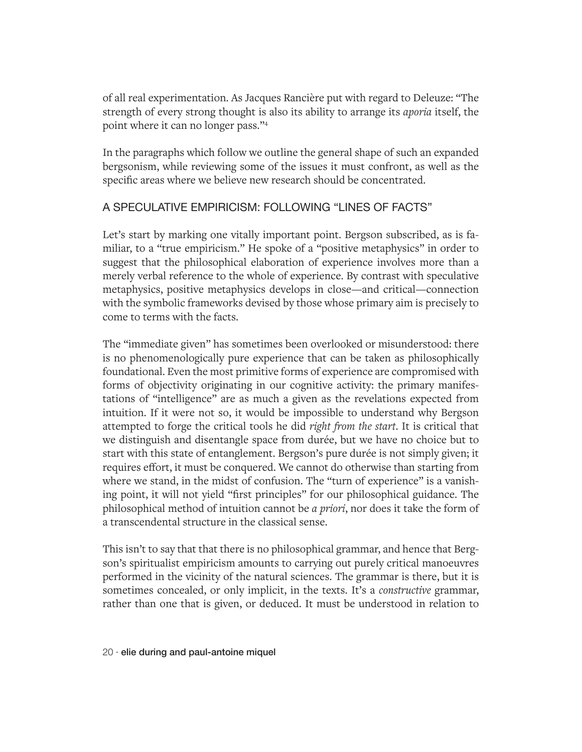of all real experimentation. As Jacques Rancière put with regard to Deleuze: "The strength of every strong thought is also its ability to arrange its *aporia* itself, the point where it can no longer pass."4

In the paragraphs which follow we outline the general shape of such an expanded bergsonism, while reviewing some of the issues it must confront, as well as the specific areas where we believe new research should be concentrated.

# A SPECULATIVE EMPIRICISM: FOLLOWING "LINES OF FACTS"

Let's start by marking one vitally important point. Bergson subscribed, as is familiar, to a "true empiricism." He spoke of a "positive metaphysics" in order to suggest that the philosophical elaboration of experience involves more than a merely verbal reference to the whole of experience. By contrast with speculative metaphysics, positive metaphysics develops in close—and critical—connection with the symbolic frameworks devised by those whose primary aim is precisely to come to terms with the facts.

The "immediate given" has sometimes been overlooked or misunderstood: there is no phenomenologically pure experience that can be taken as philosophically foundational. Even the most primitive forms of experience are compromised with forms of objectivity originating in our cognitive activity: the primary manifestations of "intelligence" are as much a given as the revelations expected from intuition. If it were not so, it would be impossible to understand why Bergson attempted to forge the critical tools he did *right from the start*. It is critical that we distinguish and disentangle space from durée, but we have no choice but to start with this state of entanglement. Bergson's pure durée is not simply given; it requires effort, it must be conquered. We cannot do otherwise than starting from where we stand, in the midst of confusion. The "turn of experience" is a vanishing point, it will not yield "first principles" for our philosophical guidance. The philosophical method of intuition cannot be *a priori*, nor does it take the form of a transcendental structure in the classical sense.

This isn't to say that that there is no philosophical grammar, and hence that Bergson's spiritualist empiricism amounts to carrying out purely critical manoeuvres performed in the vicinity of the natural sciences. The grammar is there, but it is sometimes concealed, or only implicit, in the texts. It's a *constructive* grammar, rather than one that is given, or deduced. It must be understood in relation to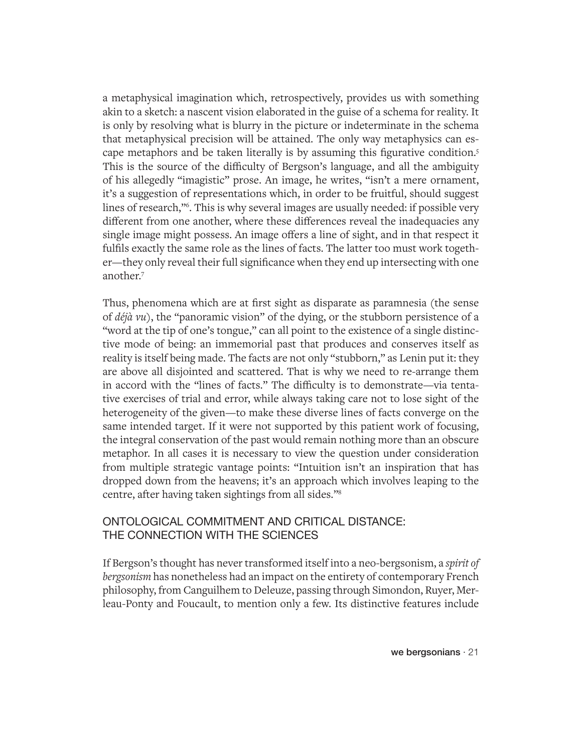a metaphysical imagination which, retrospectively, provides us with something akin to a sketch: a nascent vision elaborated in the guise of a schema for reality. It is only by resolving what is blurry in the picture or indeterminate in the schema that metaphysical precision will be attained. The only way metaphysics can escape metaphors and be taken literally is by assuming this figurative condition.<sup>5</sup> This is the source of the difficulty of Bergson's language, and all the ambiguity of his allegedly "imagistic" prose. An image, he writes, "isn't a mere ornament, it's a suggestion of representations which, in order to be fruitful, should suggest lines of research,"6 . This is why several images are usually needed: if possible very different from one another, where these differences reveal the inadequacies any single image might possess. An image offers a line of sight, and in that respect it fulfils exactly the same role as the lines of facts. The latter too must work together—they only reveal their full significance when they end up intersecting with one another.7

Thus, phenomena which are at first sight as disparate as paramnesia (the sense of *déjà vu*), the "panoramic vision" of the dying, or the stubborn persistence of a "word at the tip of one's tongue," can all point to the existence of a single distinctive mode of being: an immemorial past that produces and conserves itself as reality is itself being made. The facts are not only "stubborn," as Lenin put it: they are above all disjointed and scattered. That is why we need to re-arrange them in accord with the "lines of facts." The difficulty is to demonstrate—via tentative exercises of trial and error, while always taking care not to lose sight of the heterogeneity of the given—to make these diverse lines of facts converge on the same intended target. If it were not supported by this patient work of focusing, the integral conservation of the past would remain nothing more than an obscure metaphor. In all cases it is necessary to view the question under consideration from multiple strategic vantage points: "Intuition isn't an inspiration that has dropped down from the heavens; it's an approach which involves leaping to the centre, after having taken sightings from all sides."8

## ONTOLOGICAL COMMITMENT AND CRITICAL DISTANCE: THE CONNECTION WITH THE SCIENCES

If Bergson's thought has never transformed itself into a neo-bergsonism, a *spirit of bergsonism* has nonetheless had an impact on the entirety of contemporary French philosophy, from Canguilhem to Deleuze, passing through Simondon, Ruyer, Merleau-Ponty and Foucault, to mention only a few. Its distinctive features include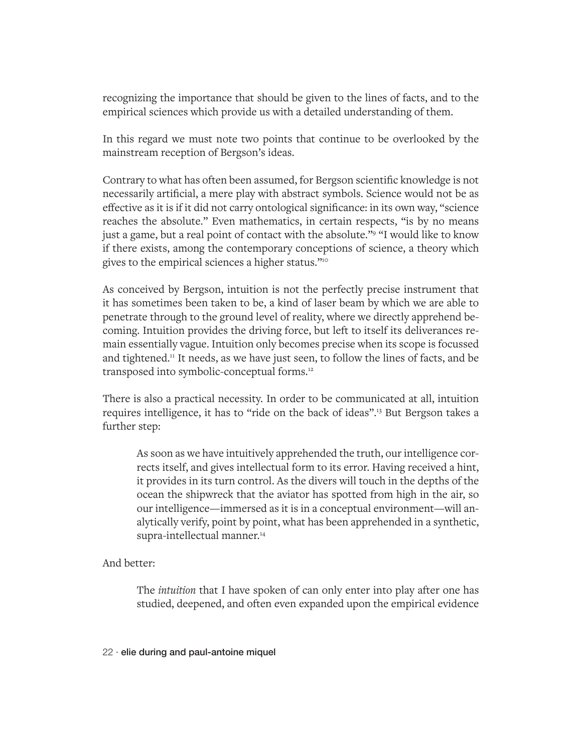recognizing the importance that should be given to the lines of facts, and to the empirical sciences which provide us with a detailed understanding of them.

In this regard we must note two points that continue to be overlooked by the mainstream reception of Bergson's ideas.

Contrary to what has often been assumed, for Bergson scientific knowledge is not necessarily artificial, a mere play with abstract symbols. Science would not be as effective as it is if it did not carry ontological significance: in its own way, "science reaches the absolute." Even mathematics, in certain respects, "is by no means just a game, but a real point of contact with the absolute."<sup>9</sup> "I would like to know if there exists, among the contemporary conceptions of science, a theory which gives to the empirical sciences a higher status."10

As conceived by Bergson, intuition is not the perfectly precise instrument that it has sometimes been taken to be, a kind of laser beam by which we are able to penetrate through to the ground level of reality, where we directly apprehend becoming. Intuition provides the driving force, but left to itself its deliverances remain essentially vague. Intuition only becomes precise when its scope is focussed and tightened.11 It needs, as we have just seen, to follow the lines of facts, and be transposed into symbolic-conceptual forms.12

There is also a practical necessity. In order to be communicated at all, intuition requires intelligence, it has to "ride on the back of ideas".13 But Bergson takes a further step:

As soon as we have intuitively apprehended the truth, our intelligence corrects itself, and gives intellectual form to its error. Having received a hint, it provides in its turn control. As the divers will touch in the depths of the ocean the shipwreck that the aviator has spotted from high in the air, so our intelligence—immersed as it is in a conceptual environment—will analytically verify, point by point, what has been apprehended in a synthetic, supra-intellectual manner.<sup>14</sup>

#### And better:

The *intuition* that I have spoken of can only enter into play after one has studied, deepened, and often even expanded upon the empirical evidence

22 · elie during and paul-antoine miquel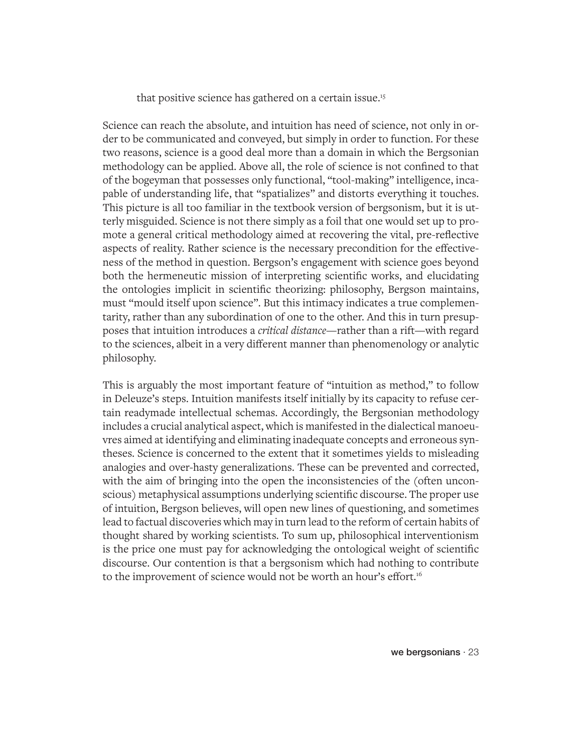that positive science has gathered on a certain issue.15

Science can reach the absolute, and intuition has need of science, not only in order to be communicated and conveyed, but simply in order to function. For these two reasons, science is a good deal more than a domain in which the Bergsonian methodology can be applied. Above all, the role of science is not confined to that of the bogeyman that possesses only functional, "tool-making" intelligence, incapable of understanding life, that "spatializes" and distorts everything it touches. This picture is all too familiar in the textbook version of bergsonism, but it is utterly misguided. Science is not there simply as a foil that one would set up to promote a general critical methodology aimed at recovering the vital, pre-reflective aspects of reality. Rather science is the necessary precondition for the effectiveness of the method in question. Bergson's engagement with science goes beyond both the hermeneutic mission of interpreting scientific works, and elucidating the ontologies implicit in scientific theorizing: philosophy, Bergson maintains, must "mould itself upon science". But this intimacy indicates a true complementarity, rather than any subordination of one to the other. And this in turn presupposes that intuition introduces a *critical distance*—rather than a rift—with regard to the sciences, albeit in a very different manner than phenomenology or analytic philosophy.

This is arguably the most important feature of "intuition as method," to follow in Deleuze's steps. Intuition manifests itself initially by its capacity to refuse certain readymade intellectual schemas. Accordingly, the Bergsonian methodology includes a crucial analytical aspect, which is manifested in the dialectical manoeuvres aimed at identifying and eliminating inadequate concepts and erroneous syntheses. Science is concerned to the extent that it sometimes yields to misleading analogies and over-hasty generalizations. These can be prevented and corrected, with the aim of bringing into the open the inconsistencies of the (often unconscious) metaphysical assumptions underlying scientific discourse. The proper use of intuition, Bergson believes, will open new lines of questioning, and sometimes lead to factual discoveries which may in turn lead to the reform of certain habits of thought shared by working scientists. To sum up, philosophical interventionism is the price one must pay for acknowledging the ontological weight of scientific discourse. Our contention is that a bergsonism which had nothing to contribute to the improvement of science would not be worth an hour's effort.<sup>16</sup>

we bergsonians · 23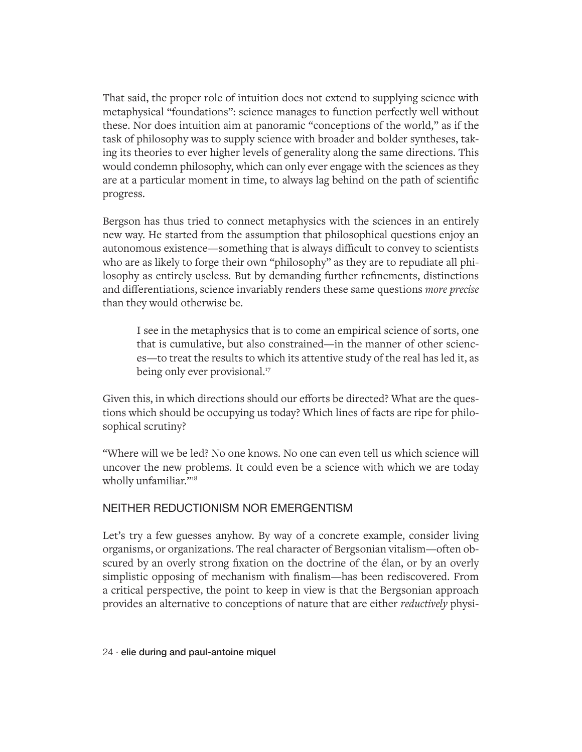That said, the proper role of intuition does not extend to supplying science with metaphysical "foundations": science manages to function perfectly well without these. Nor does intuition aim at panoramic "conceptions of the world," as if the task of philosophy was to supply science with broader and bolder syntheses, taking its theories to ever higher levels of generality along the same directions. This would condemn philosophy, which can only ever engage with the sciences as they are at a particular moment in time, to always lag behind on the path of scientific progress.

Bergson has thus tried to connect metaphysics with the sciences in an entirely new way. He started from the assumption that philosophical questions enjoy an autonomous existence—something that is always difficult to convey to scientists who are as likely to forge their own "philosophy" as they are to repudiate all philosophy as entirely useless. But by demanding further refinements, distinctions and differentiations, science invariably renders these same questions *more precise* than they would otherwise be.

I see in the metaphysics that is to come an empirical science of sorts, one that is cumulative, but also constrained—in the manner of other sciences—to treat the results to which its attentive study of the real has led it, as being only ever provisional.<sup>17</sup>

Given this, in which directions should our efforts be directed? What are the questions which should be occupying us today? Which lines of facts are ripe for philosophical scrutiny?

"Where will we be led? No one knows. No one can even tell us which science will uncover the new problems. It could even be a science with which we are today wholly unfamiliar."<sup>18</sup>

## NEITHER REDUCTIONISM NOR EMERGENTISM

Let's try a few guesses anyhow. By way of a concrete example, consider living organisms, or organizations. The real character of Bergsonian vitalism—often obscured by an overly strong fixation on the doctrine of the élan, or by an overly simplistic opposing of mechanism with finalism—has been rediscovered. From a critical perspective, the point to keep in view is that the Bergsonian approach provides an alternative to conceptions of nature that are either *reductively* physi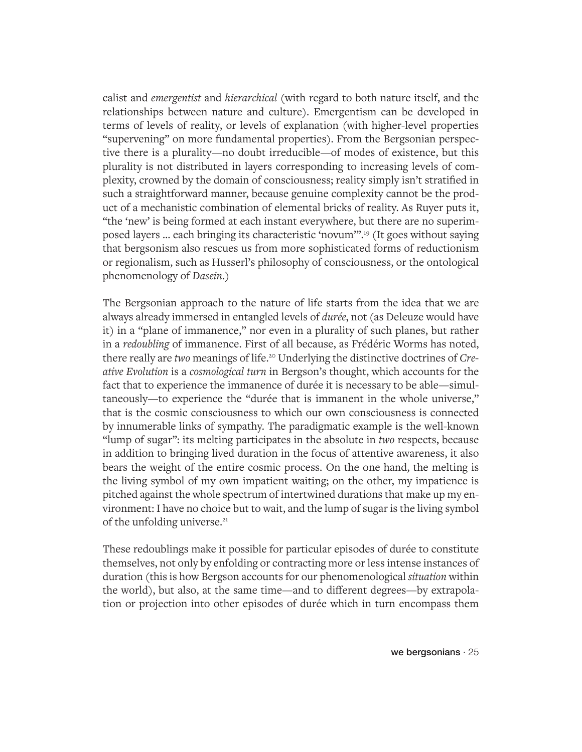calist and *emergentist* and *hierarchical* (with regard to both nature itself, and the relationships between nature and culture). Emergentism can be developed in terms of levels of reality, or levels of explanation (with higher-level properties "supervening" on more fundamental properties). From the Bergsonian perspective there is a plurality—no doubt irreducible—of modes of existence, but this plurality is not distributed in layers corresponding to increasing levels of complexity, crowned by the domain of consciousness; reality simply isn't stratified in such a straightforward manner, because genuine complexity cannot be the product of a mechanistic combination of elemental bricks of reality. As Ruyer puts it, "the 'new' is being formed at each instant everywhere, but there are no superimposed layers … each bringing its characteristic 'novum'".19 (It goes without saying that bergsonism also rescues us from more sophisticated forms of reductionism or regionalism, such as Husserl's philosophy of consciousness, or the ontological phenomenology of *Dasein*.)

The Bergsonian approach to the nature of life starts from the idea that we are always already immersed in entangled levels of *durée*, not (as Deleuze would have it) in a "plane of immanence," nor even in a plurality of such planes, but rather in a *redoubling* of immanence. First of all because, as Frédéric Worms has noted, there really are *two* meanings of life.20 Underlying the distinctive doctrines of *Creative Evolution* is a *cosmological turn* in Bergson's thought, which accounts for the fact that to experience the immanence of durée it is necessary to be able—simultaneously—to experience the "durée that is immanent in the whole universe," that is the cosmic consciousness to which our own consciousness is connected by innumerable links of sympathy. The paradigmatic example is the well-known "lump of sugar": its melting participates in the absolute in *two* respects, because in addition to bringing lived duration in the focus of attentive awareness, it also bears the weight of the entire cosmic process. On the one hand, the melting is the living symbol of my own impatient waiting; on the other, my impatience is pitched against the whole spectrum of intertwined durations that make up my environment: I have no choice but to wait, and the lump of sugar is the living symbol of the unfolding universe.<sup>21</sup>

These redoublings make it possible for particular episodes of durée to constitute themselves, not only by enfolding or contracting more or less intense instances of duration (this is how Bergson accounts for our phenomenological *situation* within the world), but also, at the same time—and to different degrees—by extrapolation or projection into other episodes of durée which in turn encompass them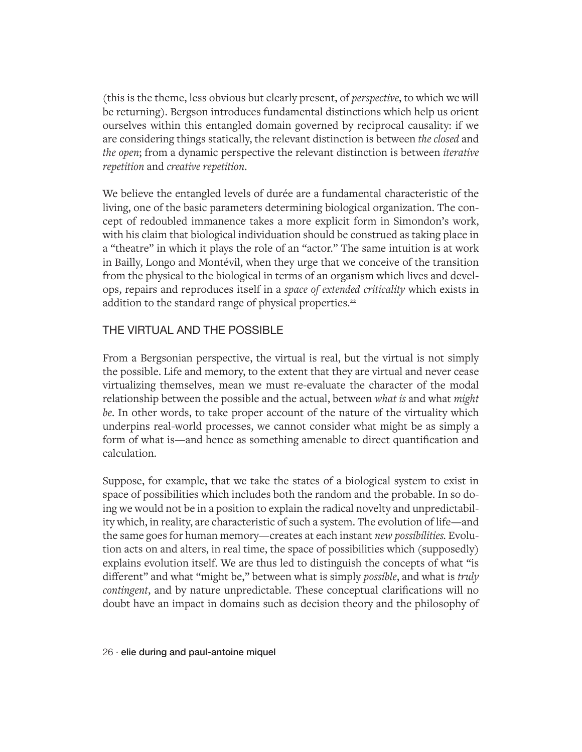(this is the theme, less obvious but clearly present, of *perspective*, to which we will be returning). Bergson introduces fundamental distinctions which help us orient ourselves within this entangled domain governed by reciprocal causality: if we are considering things statically, the relevant distinction is between *the closed* and *the open*; from a dynamic perspective the relevant distinction is between *iterative repetition* and *creative repetition*.

We believe the entangled levels of durée are a fundamental characteristic of the living, one of the basic parameters determining biological organization. The concept of redoubled immanence takes a more explicit form in Simondon's work, with his claim that biological individuation should be construed as taking place in a "theatre" in which it plays the role of an "actor." The same intuition is at work in Bailly, Longo and Montévil, when they urge that we conceive of the transition from the physical to the biological in terms of an organism which lives and develops, repairs and reproduces itself in a *space of extended criticality* which exists in addition to the standard range of physical properties.<sup>22</sup>

## THE VIRTUAL AND THE POSSIBLE

From a Bergsonian perspective, the virtual is real, but the virtual is not simply the possible. Life and memory, to the extent that they are virtual and never cease virtualizing themselves, mean we must re-evaluate the character of the modal relationship between the possible and the actual, between *what is* and what *might be*. In other words, to take proper account of the nature of the virtuality which underpins real-world processes, we cannot consider what might be as simply a form of what is—and hence as something amenable to direct quantification and calculation.

Suppose, for example, that we take the states of a biological system to exist in space of possibilities which includes both the random and the probable. In so doing we would not be in a position to explain the radical novelty and unpredictability which, in reality, are characteristic of such a system. The evolution of life—and the same goes for human memory—creates at each instant *new possibilities.* Evolution acts on and alters, in real time, the space of possibilities which (supposedly) explains evolution itself. We are thus led to distinguish the concepts of what "is different" and what "might be," between what is simply *possible*, and what is *truly contingent*, and by nature unpredictable. These conceptual clarifications will no doubt have an impact in domains such as decision theory and the philosophy of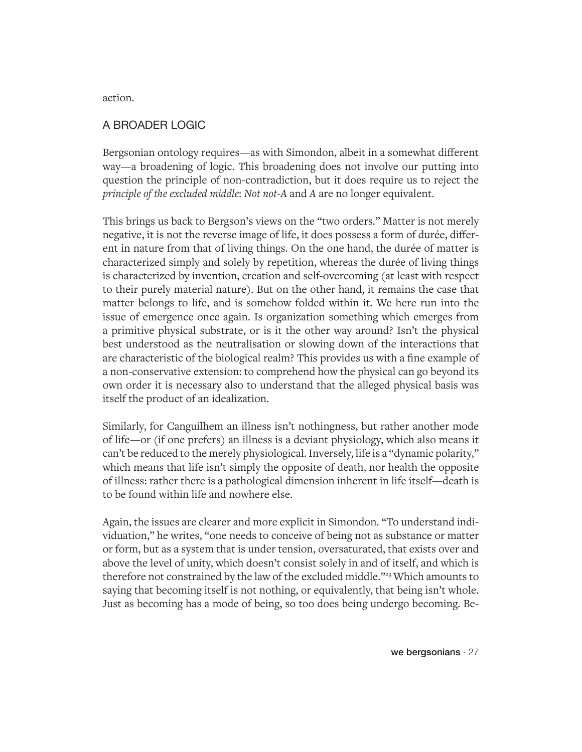action.

### A BROADER LOGIC

Bergsonian ontology requires—as with Simondon, albeit in a somewhat different way—a broadening of logic. This broadening does not involve our putting into question the principle of non-contradiction, but it does require us to reject the *principle of the excluded middle*: *Not not-A* and *A* are no longer equivalent.

This brings us back to Bergson's views on the "two orders." Matter is not merely negative, it is not the reverse image of life, it does possess a form of durée, different in nature from that of living things. On the one hand, the durée of matter is characterized simply and solely by repetition, whereas the durée of living things is characterized by invention, creation and self-overcoming (at least with respect to their purely material nature). But on the other hand, it remains the case that matter belongs to life, and is somehow folded within it. We here run into the issue of emergence once again. Is organization something which emerges from a primitive physical substrate, or is it the other way around? Isn't the physical best understood as the neutralisation or slowing down of the interactions that are characteristic of the biological realm? This provides us with a fine example of a non-conservative extension: to comprehend how the physical can go beyond its own order it is necessary also to understand that the alleged physical basis was itself the product of an idealization.

Similarly, for Canguilhem an illness isn't nothingness, but rather another mode of life—or (if one prefers) an illness is a deviant physiology, which also means it can't be reduced to the merely physiological. Inversely, life is a "dynamic polarity," which means that life isn't simply the opposite of death, nor health the opposite of illness: rather there is a pathological dimension inherent in life itself—death is to be found within life and nowhere else.

Again, the issues are clearer and more explicit in Simondon. "To understand individuation," he writes, "one needs to conceive of being not as substance or matter or form, but as a system that is under tension, oversaturated, that exists over and above the level of unity, which doesn't consist solely in and of itself, and which is therefore not constrained by the law of the excluded middle."<sup>23</sup> Which amounts to saying that becoming itself is not nothing, or equivalently, that being isn't whole. Just as becoming has a mode of being, so too does being undergo becoming. Be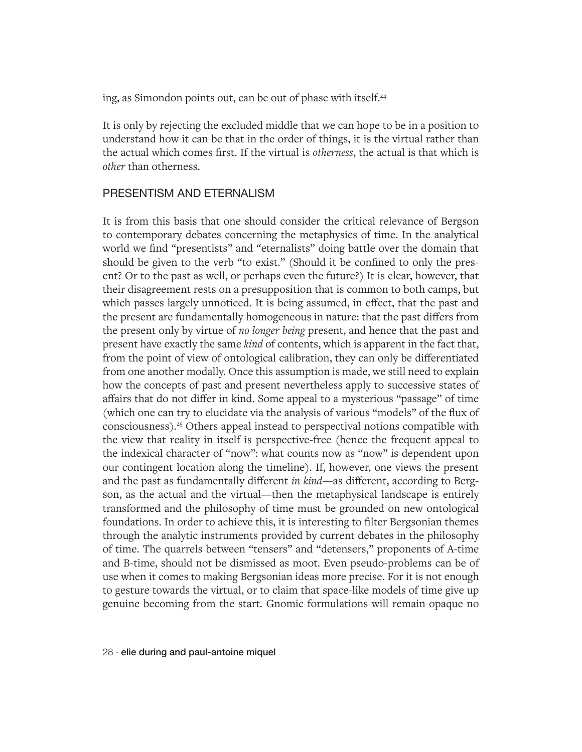ing, as Simondon points out, can be out of phase with itself.<sup>24</sup>

It is only by rejecting the excluded middle that we can hope to be in a position to understand how it can be that in the order of things, it is the virtual rather than the actual which comes first. If the virtual is *otherness*, the actual is that which is *other* than otherness.

#### PRESENTISM AND ETERNALISM

It is from this basis that one should consider the critical relevance of Bergson to contemporary debates concerning the metaphysics of time. In the analytical world we find "presentists" and "eternalists" doing battle over the domain that should be given to the verb "to exist." (Should it be confined to only the present? Or to the past as well, or perhaps even the future?) It is clear, however, that their disagreement rests on a presupposition that is common to both camps, but which passes largely unnoticed. It is being assumed, in effect, that the past and the present are fundamentally homogeneous in nature: that the past differs from the present only by virtue of *no longer being* present, and hence that the past and present have exactly the same *kind* of contents, which is apparent in the fact that, from the point of view of ontological calibration, they can only be differentiated from one another modally. Once this assumption is made, we still need to explain how the concepts of past and present nevertheless apply to successive states of affairs that do not differ in kind. Some appeal to a mysterious "passage" of time (which one can try to elucidate via the analysis of various "models" of the flux of consciousness).25 Others appeal instead to perspectival notions compatible with the view that reality in itself is perspective-free (hence the frequent appeal to the indexical character of "now": what counts now as "now" is dependent upon our contingent location along the timeline). If, however, one views the present and the past as fundamentally different *in kind*—as different, according to Bergson, as the actual and the virtual—then the metaphysical landscape is entirely transformed and the philosophy of time must be grounded on new ontological foundations. In order to achieve this, it is interesting to filter Bergsonian themes through the analytic instruments provided by current debates in the philosophy of time. The quarrels between "tensers" and "detensers," proponents of A-time and B-time, should not be dismissed as moot. Even pseudo-problems can be of use when it comes to making Bergsonian ideas more precise. For it is not enough to gesture towards the virtual, or to claim that space-like models of time give up genuine becoming from the start. Gnomic formulations will remain opaque no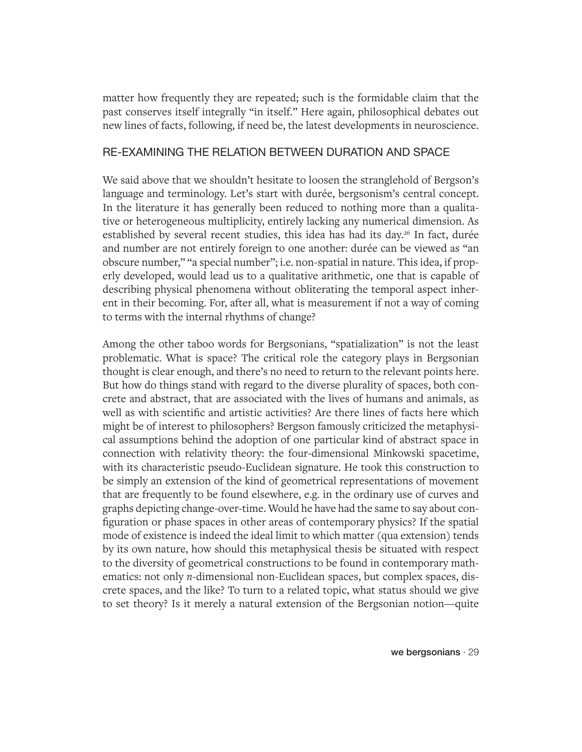matter how frequently they are repeated; such is the formidable claim that the past conserves itself integrally "in itself." Here again, philosophical debates out new lines of facts, following, if need be, the latest developments in neuroscience.

## RE-EXAMINING THE RELATION BETWEEN DURATION AND SPACE

We said above that we shouldn't hesitate to loosen the stranglehold of Bergson's language and terminology. Let's start with durée, bergsonism's central concept. In the literature it has generally been reduced to nothing more than a qualitative or heterogeneous multiplicity, entirely lacking any numerical dimension. As established by several recent studies, this idea has had its day.<sup>26</sup> In fact, durée and number are not entirely foreign to one another: durée can be viewed as "an obscure number," "a special number"; i.e. non-spatial in nature. This idea, if properly developed, would lead us to a qualitative arithmetic, one that is capable of describing physical phenomena without obliterating the temporal aspect inherent in their becoming. For, after all, what is measurement if not a way of coming to terms with the internal rhythms of change?

Among the other taboo words for Bergsonians, "spatialization" is not the least problematic. What is space? The critical role the category plays in Bergsonian thought is clear enough, and there's no need to return to the relevant points here. But how do things stand with regard to the diverse plurality of spaces, both concrete and abstract, that are associated with the lives of humans and animals, as well as with scientific and artistic activities? Are there lines of facts here which might be of interest to philosophers? Bergson famously criticized the metaphysical assumptions behind the adoption of one particular kind of abstract space in connection with relativity theory: the four-dimensional Minkowski spacetime, with its characteristic pseudo-Euclidean signature. He took this construction to be simply an extension of the kind of geometrical representations of movement that are frequently to be found elsewhere, e.g. in the ordinary use of curves and graphs depicting change-over-time. Would he have had the same to say about configuration or phase spaces in other areas of contemporary physics? If the spatial mode of existence is indeed the ideal limit to which matter (qua extension) tends by its own nature, how should this metaphysical thesis be situated with respect to the diversity of geometrical constructions to be found in contemporary mathematics: not only *n*-dimensional non-Euclidean spaces, but complex spaces, discrete spaces, and the like? To turn to a related topic, what status should we give to set theory? Is it merely a natural extension of the Bergsonian notion—quite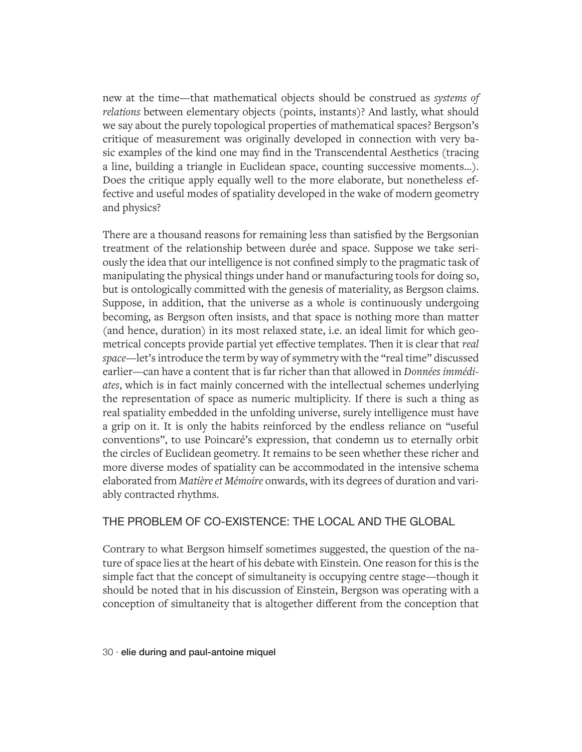new at the time—that mathematical objects should be construed as *systems of relations* between elementary objects (points, instants)? And lastly, what should we say about the purely topological properties of mathematical spaces? Bergson's critique of measurement was originally developed in connection with very basic examples of the kind one may find in the Transcendental Aesthetics (tracing a line, building a triangle in Euclidean space, counting successive moments…). Does the critique apply equally well to the more elaborate, but nonetheless effective and useful modes of spatiality developed in the wake of modern geometry and physics?

There are a thousand reasons for remaining less than satisfied by the Bergsonian treatment of the relationship between durée and space. Suppose we take seriously the idea that our intelligence is not confined simply to the pragmatic task of manipulating the physical things under hand or manufacturing tools for doing so, but is ontologically committed with the genesis of materiality, as Bergson claims. Suppose, in addition, that the universe as a whole is continuously undergoing becoming, as Bergson often insists, and that space is nothing more than matter (and hence, duration) in its most relaxed state, i.e. an ideal limit for which geometrical concepts provide partial yet effective templates. Then it is clear that *real space*—let's introduce the term by way of symmetry with the "real time" discussed earlier—can have a content that is far richer than that allowed in *Données immédiates*, which is in fact mainly concerned with the intellectual schemes underlying the representation of space as numeric multiplicity. If there is such a thing as real spatiality embedded in the unfolding universe, surely intelligence must have a grip on it. It is only the habits reinforced by the endless reliance on "useful conventions", to use Poincaré's expression, that condemn us to eternally orbit the circles of Euclidean geometry. It remains to be seen whether these richer and more diverse modes of spatiality can be accommodated in the intensive schema elaborated from *Matière et Mémoire* onwards, with its degrees of duration and variably contracted rhythms.

## THE PROBLEM OF CO-EXISTENCE: THE LOCAL AND THE GLOBAL

Contrary to what Bergson himself sometimes suggested, the question of the nature of space lies at the heart of his debate with Einstein. One reason for this is the simple fact that the concept of simultaneity is occupying centre stage—though it should be noted that in his discussion of Einstein, Bergson was operating with a conception of simultaneity that is altogether different from the conception that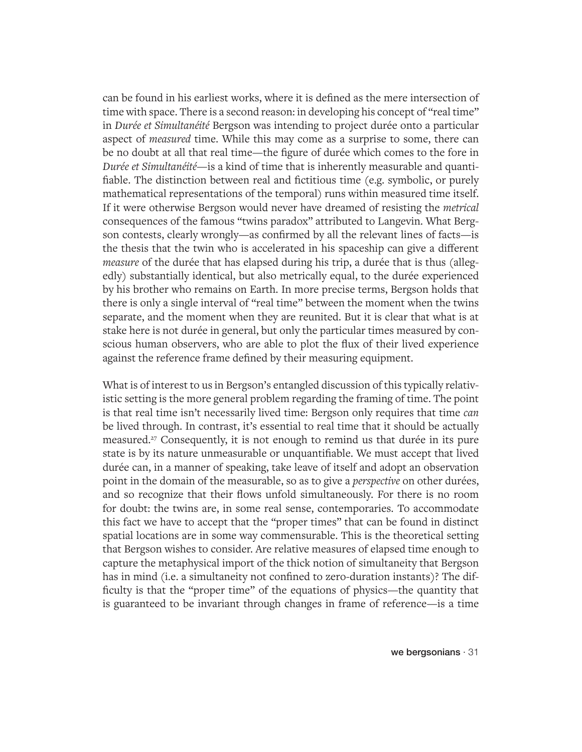can be found in his earliest works, where it is defined as the mere intersection of time with space. There is a second reason: in developing his concept of "real time" in *Durée et Simultanéité* Bergson was intending to project durée onto a particular aspect of *measured* time. While this may come as a surprise to some, there can be no doubt at all that real time—the figure of durée which comes to the fore in *Durée et Simultanéité*—is a kind of time that is inherently measurable and quantifiable. The distinction between real and fictitious time (e.g. symbolic, or purely mathematical representations of the temporal) runs within measured time itself. If it were otherwise Bergson would never have dreamed of resisting the *metrical* consequences of the famous "twins paradox" attributed to Langevin. What Bergson contests, clearly wrongly—as confirmed by all the relevant lines of facts—is the thesis that the twin who is accelerated in his spaceship can give a different *measure* of the durée that has elapsed during his trip, a durée that is thus (allegedly) substantially identical, but also metrically equal, to the durée experienced by his brother who remains on Earth. In more precise terms, Bergson holds that there is only a single interval of "real time" between the moment when the twins separate, and the moment when they are reunited. But it is clear that what is at stake here is not durée in general, but only the particular times measured by conscious human observers, who are able to plot the flux of their lived experience against the reference frame defined by their measuring equipment.

What is of interest to us in Bergson's entangled discussion of this typically relativistic setting is the more general problem regarding the framing of time. The point is that real time isn't necessarily lived time: Bergson only requires that time *can* be lived through. In contrast, it's essential to real time that it should be actually measured.<sup>27</sup> Consequently, it is not enough to remind us that durée in its pure state is by its nature unmeasurable or unquantifiable. We must accept that lived durée can, in a manner of speaking, take leave of itself and adopt an observation point in the domain of the measurable, so as to give a *perspective* on other durées, and so recognize that their flows unfold simultaneously. For there is no room for doubt: the twins are, in some real sense, contemporaries. To accommodate this fact we have to accept that the "proper times" that can be found in distinct spatial locations are in some way commensurable. This is the theoretical setting that Bergson wishes to consider. Are relative measures of elapsed time enough to capture the metaphysical import of the thick notion of simultaneity that Bergson has in mind (i.e. a simultaneity not confined to zero-duration instants)? The difficulty is that the "proper time" of the equations of physics—the quantity that is guaranteed to be invariant through changes in frame of reference—is a time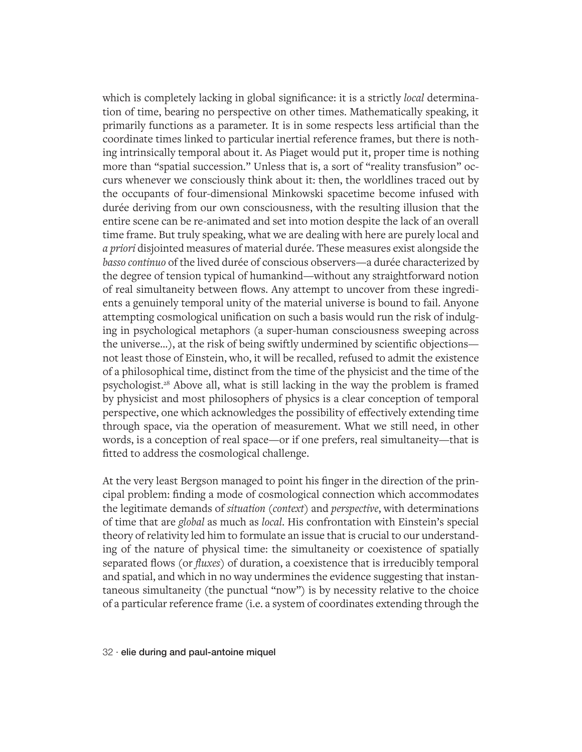which is completely lacking in global significance: it is a strictly *local* determination of time, bearing no perspective on other times. Mathematically speaking, it primarily functions as a parameter. It is in some respects less artificial than the coordinate times linked to particular inertial reference frames, but there is nothing intrinsically temporal about it. As Piaget would put it, proper time is nothing more than "spatial succession." Unless that is, a sort of "reality transfusion" occurs whenever we consciously think about it: then, the worldlines traced out by the occupants of four-dimensional Minkowski spacetime become infused with durée deriving from our own consciousness, with the resulting illusion that the entire scene can be re-animated and set into motion despite the lack of an overall time frame. But truly speaking, what we are dealing with here are purely local and *a priori* disjointed measures of material durée. These measures exist alongside the *basso continuo* of the lived durée of conscious observers—a durée characterized by the degree of tension typical of humankind—without any straightforward notion of real simultaneity between flows. Any attempt to uncover from these ingredients a genuinely temporal unity of the material universe is bound to fail. Anyone attempting cosmological unification on such a basis would run the risk of indulging in psychological metaphors (a super-human consciousness sweeping across the universe…), at the risk of being swiftly undermined by scientific objections not least those of Einstein, who, it will be recalled, refused to admit the existence of a philosophical time, distinct from the time of the physicist and the time of the psychologist.28 Above all, what is still lacking in the way the problem is framed by physicist and most philosophers of physics is a clear conception of temporal perspective, one which acknowledges the possibility of effectively extending time through space, via the operation of measurement. What we still need, in other words, is a conception of real space—or if one prefers, real simultaneity—that is fitted to address the cosmological challenge.

At the very least Bergson managed to point his finger in the direction of the principal problem: finding a mode of cosmological connection which accommodates the legitimate demands of *situation* (*context*) and *perspective*, with determinations of time that are *global* as much as *local*. His confrontation with Einstein's special theory of relativity led him to formulate an issue that is crucial to our understanding of the nature of physical time: the simultaneity or coexistence of spatially separated flows (or *fluxes*) of duration, a coexistence that is irreducibly temporal and spatial, and which in no way undermines the evidence suggesting that instantaneous simultaneity (the punctual "now") is by necessity relative to the choice of a particular reference frame (i.e. a system of coordinates extending through the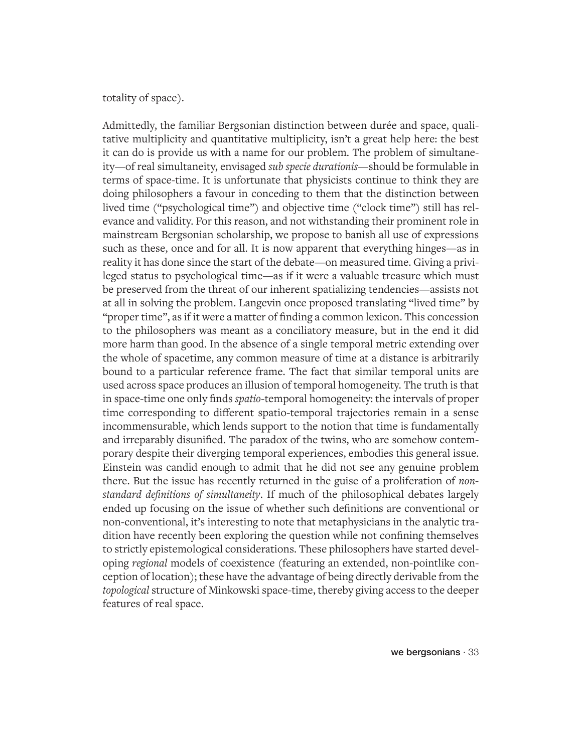#### totality of space).

Admittedly, the familiar Bergsonian distinction between durée and space, qualitative multiplicity and quantitative multiplicity, isn't a great help here: the best it can do is provide us with a name for our problem. The problem of simultaneity—of real simultaneity, envisaged *sub specie durationis—*should be formulable in terms of space-time. It is unfortunate that physicists continue to think they are doing philosophers a favour in conceding to them that the distinction between lived time ("psychological time") and objective time ("clock time") still has relevance and validity. For this reason, and not withstanding their prominent role in mainstream Bergsonian scholarship, we propose to banish all use of expressions such as these, once and for all. It is now apparent that everything hinges—as in reality it has done since the start of the debate—on measured time. Giving a privileged status to psychological time—as if it were a valuable treasure which must be preserved from the threat of our inherent spatializing tendencies—assists not at all in solving the problem. Langevin once proposed translating "lived time" by "proper time", as if it were a matter of finding a common lexicon. This concession to the philosophers was meant as a conciliatory measure, but in the end it did more harm than good. In the absence of a single temporal metric extending over the whole of spacetime, any common measure of time at a distance is arbitrarily bound to a particular reference frame. The fact that similar temporal units are used across space produces an illusion of temporal homogeneity. The truth is that in space-time one only finds *spatio*-temporal homogeneity: the intervals of proper time corresponding to different spatio-temporal trajectories remain in a sense incommensurable, which lends support to the notion that time is fundamentally and irreparably disunified. The paradox of the twins, who are somehow contemporary despite their diverging temporal experiences, embodies this general issue. Einstein was candid enough to admit that he did not see any genuine problem there. But the issue has recently returned in the guise of a proliferation of *nonstandard definitions of simultaneity*. If much of the philosophical debates largely ended up focusing on the issue of whether such definitions are conventional or non-conventional, it's interesting to note that metaphysicians in the analytic tradition have recently been exploring the question while not confining themselves to strictly epistemological considerations. These philosophers have started developing *regional* models of coexistence (featuring an extended, non-pointlike conception of location); these have the advantage of being directly derivable from the *topological* structure of Minkowski space-time, thereby giving access to the deeper features of real space.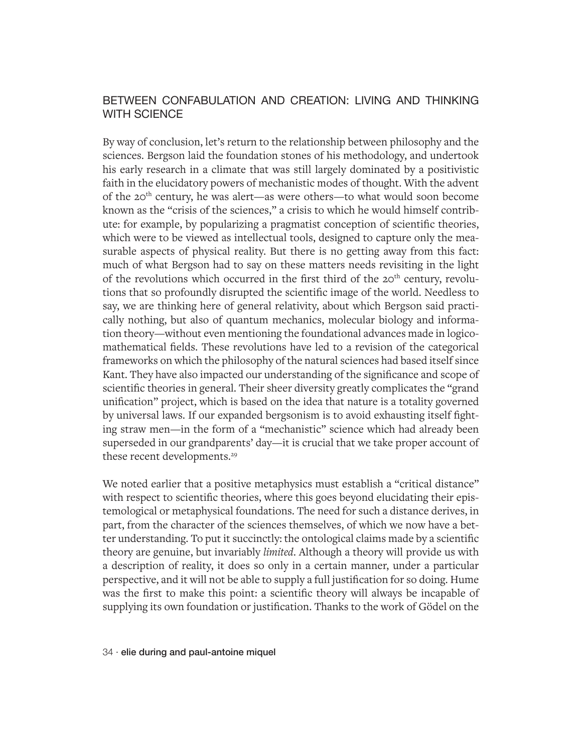## BETWEEN CONFABULATION AND CREATION: LIVING AND THINKING WITH SCIENCE

By way of conclusion, let's return to the relationship between philosophy and the sciences. Bergson laid the foundation stones of his methodology, and undertook his early research in a climate that was still largely dominated by a positivistic faith in the elucidatory powers of mechanistic modes of thought. With the advent of the 20th century, he was alert—as were others—to what would soon become known as the "crisis of the sciences," a crisis to which he would himself contribute: for example, by popularizing a pragmatist conception of scientific theories, which were to be viewed as intellectual tools, designed to capture only the measurable aspects of physical reality. But there is no getting away from this fact: much of what Bergson had to say on these matters needs revisiting in the light of the revolutions which occurred in the first third of the  $20<sup>th</sup>$  century, revolutions that so profoundly disrupted the scientific image of the world. Needless to say, we are thinking here of general relativity, about which Bergson said practically nothing, but also of quantum mechanics, molecular biology and information theory—without even mentioning the foundational advances made in logicomathematical fields. These revolutions have led to a revision of the categorical frameworks on which the philosophy of the natural sciences had based itself since Kant. They have also impacted our understanding of the significance and scope of scientific theories in general. Their sheer diversity greatly complicates the "grand unification" project, which is based on the idea that nature is a totality governed by universal laws. If our expanded bergsonism is to avoid exhausting itself fighting straw men—in the form of a "mechanistic" science which had already been superseded in our grandparents' day—it is crucial that we take proper account of these recent developments.<sup>29</sup>

We noted earlier that a positive metaphysics must establish a "critical distance" with respect to scientific theories, where this goes beyond elucidating their epistemological or metaphysical foundations. The need for such a distance derives, in part, from the character of the sciences themselves, of which we now have a better understanding. To put it succinctly: the ontological claims made by a scientific theory are genuine, but invariably *limited*. Although a theory will provide us with a description of reality, it does so only in a certain manner, under a particular perspective, and it will not be able to supply a full justification for so doing. Hume was the first to make this point: a scientific theory will always be incapable of supplying its own foundation or justification. Thanks to the work of Gödel on the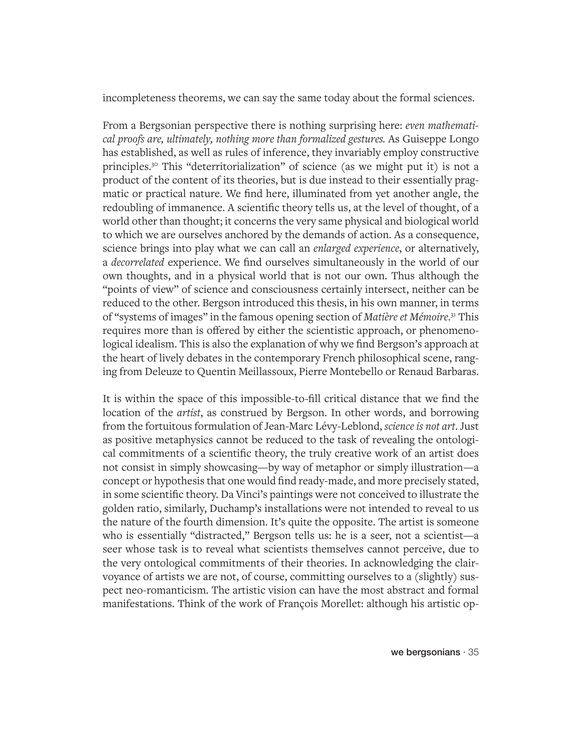incompleteness theorems, we can say the same today about the formal sciences.

From a Bergsonian perspective there is nothing surprising here: *even mathematical proofs are, ultimately, nothing more than formalized gestures.* As Guiseppe Longo has established, as well as rules of inference, they invariably employ constructive principles.30 This "deterritorialization" of science (as we might put it) is not a product of the content of its theories, but is due instead to their essentially pragmatic or practical nature. We find here, illuminated from yet another angle, the redoubling of immanence. A scientific theory tells us, at the level of thought, of a world other than thought; it concerns the very same physical and biological world to which we are ourselves anchored by the demands of action. As a consequence, science brings into play what we can call an *enlarged experience*, or alternatively, a *decorrelated* experience. We find ourselves simultaneously in the world of our own thoughts, and in a physical world that is not our own. Thus although the "points of view" of science and consciousness certainly intersect, neither can be reduced to the other. Bergson introduced this thesis, in his own manner, in terms of "systems of images" in the famous opening section of *Matière et Mémoire*. 31 This requires more than is offered by either the scientistic approach, or phenomenological idealism. This is also the explanation of why we find Bergson's approach at the heart of lively debates in the contemporary French philosophical scene, ranging from Deleuze to Quentin Meillassoux, Pierre Montebello or Renaud Barbaras.

It is within the space of this impossible-to-fill critical distance that we find the location of the *artist*, as construed by Bergson. In other words, and borrowing from the fortuitous formulation of Jean-Marc Lévy-Leblond, *science is not art*. Just as positive metaphysics cannot be reduced to the task of revealing the ontological commitments of a scientific theory, the truly creative work of an artist does not consist in simply showcasing—by way of metaphor or simply illustration—a concept or hypothesis that one would find ready-made, and more precisely stated, in some scientific theory. Da Vinci's paintings were not conceived to illustrate the golden ratio, similarly, Duchamp's installations were not intended to reveal to us the nature of the fourth dimension. It's quite the opposite. The artist is someone who is essentially "distracted," Bergson tells us: he is a seer, not a scientist—a seer whose task is to reveal what scientists themselves cannot perceive, due to the very ontological commitments of their theories. In acknowledging the clairvoyance of artists we are not, of course, committing ourselves to a (slightly) suspect neo-romanticism. The artistic vision can have the most abstract and formal manifestations. Think of the work of François Morellet: although his artistic op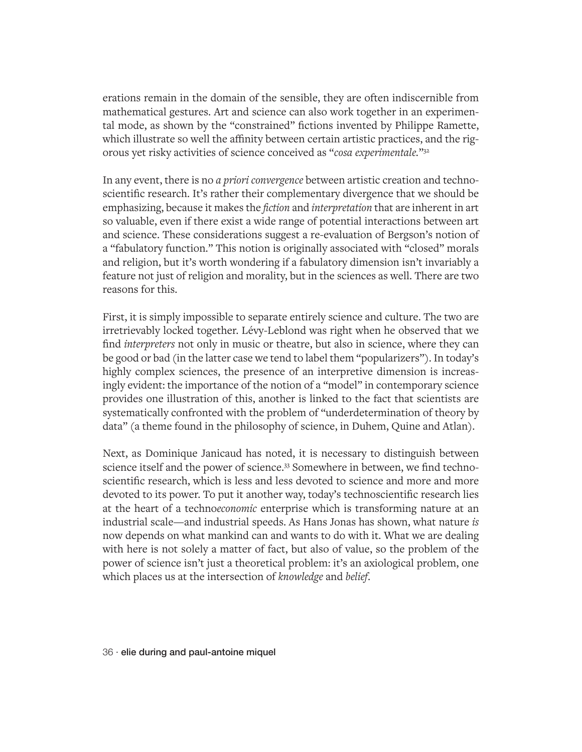erations remain in the domain of the sensible, they are often indiscernible from mathematical gestures. Art and science can also work together in an experimental mode, as shown by the "constrained" fictions invented by Philippe Ramette, which illustrate so well the affinity between certain artistic practices, and the rigorous yet risky activities of science conceived as "*cosa experimentale.*"32

In any event, there is no *a priori convergence* between artistic creation and technoscientific research. It's rather their complementary divergence that we should be emphasizing, because it makes the *fiction* and *interpretation* that are inherent in art so valuable, even if there exist a wide range of potential interactions between art and science. These considerations suggest a re-evaluation of Bergson's notion of a "fabulatory function." This notion is originally associated with "closed" morals and religion, but it's worth wondering if a fabulatory dimension isn't invariably a feature not just of religion and morality, but in the sciences as well. There are two reasons for this.

First, it is simply impossible to separate entirely science and culture. The two are irretrievably locked together. Lévy-Leblond was right when he observed that we find *interpreters* not only in music or theatre, but also in science, where they can be good or bad (in the latter case we tend to label them "popularizers"). In today's highly complex sciences, the presence of an interpretive dimension is increasingly evident: the importance of the notion of a "model" in contemporary science provides one illustration of this, another is linked to the fact that scientists are systematically confronted with the problem of "underdetermination of theory by data" (a theme found in the philosophy of science, in Duhem, Quine and Atlan).

Next, as Dominique Janicaud has noted, it is necessary to distinguish between science itself and the power of science.33 Somewhere in between, we find technoscientific research, which is less and less devoted to science and more and more devoted to its power. To put it another way, today's technoscientific research lies at the heart of a techno*economic* enterprise which is transforming nature at an industrial scale—and industrial speeds. As Hans Jonas has shown, what nature *is* now depends on what mankind can and wants to do with it. What we are dealing with here is not solely a matter of fact, but also of value, so the problem of the power of science isn't just a theoretical problem: it's an axiological problem, one which places us at the intersection of *knowledge* and *belief*.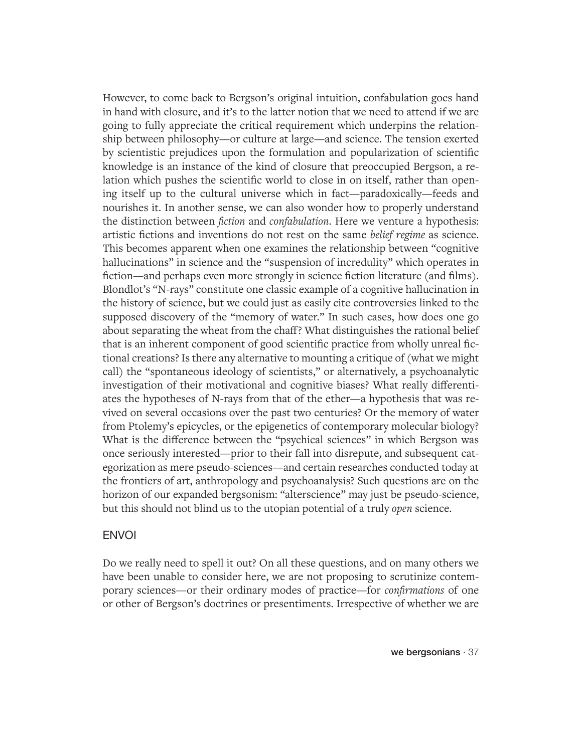However, to come back to Bergson's original intuition, confabulation goes hand in hand with closure, and it's to the latter notion that we need to attend if we are going to fully appreciate the critical requirement which underpins the relationship between philosophy—or culture at large—and science. The tension exerted by scientistic prejudices upon the formulation and popularization of scientific knowledge is an instance of the kind of closure that preoccupied Bergson, a relation which pushes the scientific world to close in on itself, rather than opening itself up to the cultural universe which in fact—paradoxically—feeds and nourishes it. In another sense, we can also wonder how to properly understand the distinction between *fiction* and *confabulation*. Here we venture a hypothesis: artistic fictions and inventions do not rest on the same *belief regime* as science. This becomes apparent when one examines the relationship between "cognitive hallucinations" in science and the "suspension of incredulity" which operates in fiction—and perhaps even more strongly in science fiction literature (and films). Blondlot's "N-rays" constitute one classic example of a cognitive hallucination in the history of science, but we could just as easily cite controversies linked to the supposed discovery of the "memory of water." In such cases, how does one go about separating the wheat from the chaff? What distinguishes the rational belief that is an inherent component of good scientific practice from wholly unreal fictional creations? Is there any alternative to mounting a critique of (what we might call) the "spontaneous ideology of scientists," or alternatively, a psychoanalytic investigation of their motivational and cognitive biases? What really differentiates the hypotheses of N-rays from that of the ether—a hypothesis that was revived on several occasions over the past two centuries? Or the memory of water from Ptolemy's epicycles, or the epigenetics of contemporary molecular biology? What is the difference between the "psychical sciences" in which Bergson was once seriously interested—prior to their fall into disrepute, and subsequent categorization as mere pseudo-sciences—and certain researches conducted today at the frontiers of art, anthropology and psychoanalysis? Such questions are on the horizon of our expanded bergsonism: "alterscience" may just be pseudo-science, but this should not blind us to the utopian potential of a truly *open* science.

#### ENVOI

Do we really need to spell it out? On all these questions, and on many others we have been unable to consider here, we are not proposing to scrutinize contemporary sciences—or their ordinary modes of practice—for *confirmations* of one or other of Bergson's doctrines or presentiments. Irrespective of whether we are

we bergsonians · 37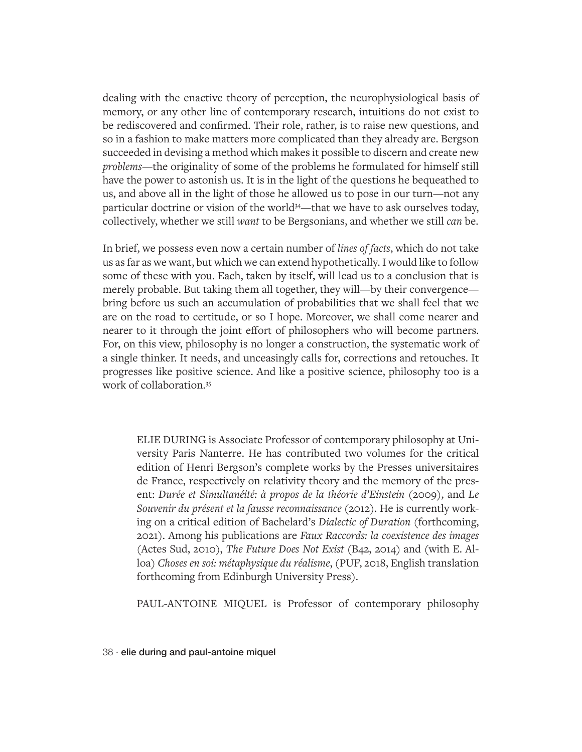dealing with the enactive theory of perception, the neurophysiological basis of memory, or any other line of contemporary research, intuitions do not exist to be rediscovered and confirmed. Their role, rather, is to raise new questions, and so in a fashion to make matters more complicated than they already are. Bergson succeeded in devising a method which makes it possible to discern and create new *problems*—the originality of some of the problems he formulated for himself still have the power to astonish us. It is in the light of the questions he bequeathed to us, and above all in the light of those he allowed us to pose in our turn—not any particular doctrine or vision of the world<sup>34</sup>—that we have to ask ourselves today, collectively, whether we still *want* to be Bergsonians, and whether we still *can* be.

In brief, we possess even now a certain number of *lines of facts*, which do not take us as far as we want, but which we can extend hypothetically. I would like to follow some of these with you. Each, taken by itself, will lead us to a conclusion that is merely probable. But taking them all together, they will—by their convergence bring before us such an accumulation of probabilities that we shall feel that we are on the road to certitude, or so I hope. Moreover, we shall come nearer and nearer to it through the joint effort of philosophers who will become partners. For, on this view, philosophy is no longer a construction, the systematic work of a single thinker. It needs, and unceasingly calls for, corrections and retouches. It progresses like positive science. And like a positive science, philosophy too is a work of collaboration.35

ELIE DURING is Associate Professor of contemporary philosophy at University Paris Nanterre. He has contributed two volumes for the critical edition of Henri Bergson's complete works by the Presses universitaires de France, respectively on relativity theory and the memory of the present: *Durée et Simultanéité: à propos de la théorie d'Einstein* (2009), and *Le Souvenir du présent et la fausse reconnaissance* (2012). He is currently working on a critical edition of Bachelard's *Dialectic of Duration* (forthcoming, 2021). Among his publications are *Faux Raccords: la coexistence des images* (Actes Sud, 2010), *The Future Does Not Exist* (B42, 2014) and (with E. Alloa) *Choses en soi: métaphysique du réalisme*, (PUF, 2018, English translation forthcoming from Edinburgh University Press).

PAUL-ANTOINE MIQUEL is Professor of contemporary philosophy

38 · elie during and paul-antoine miquel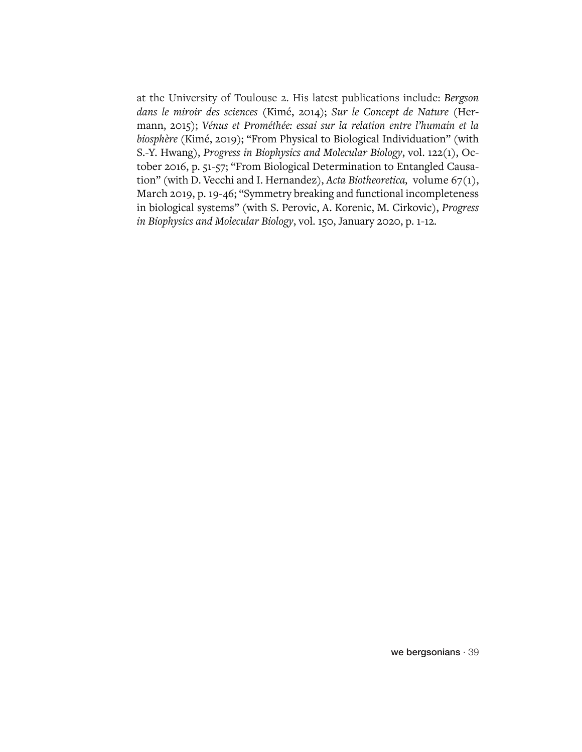at the University of Toulouse 2. His latest publications include: *Bergson dans le miroir des sciences* (Kimé, 2014); *Sur le Concept de Nature* (Hermann, 2015); *Vénus et Prométhée: essai sur la relation entre l'humain et la biosphère* (Kimé, 2019); "From Physical to Biological Individuation" (with S.-Y. Hwang), *Progress in Biophysics and Molecular Biology*, vol. 122(1), October 2016, p. 51-57; "From Biological Determination to Entangled Causation" (with D. Vecchi and I. Hernandez), *Acta Biotheoretica,* volume 67(1), March 2019, p. 19-46; "Symmetry breaking and functional incompleteness in biological systems" (with S. Perovic, A. Korenic, M. Cirkovic), *Progress in Biophysics and Molecular Biology*, vol. 150, January 2020, p. 1-12.

we bergsonians · 39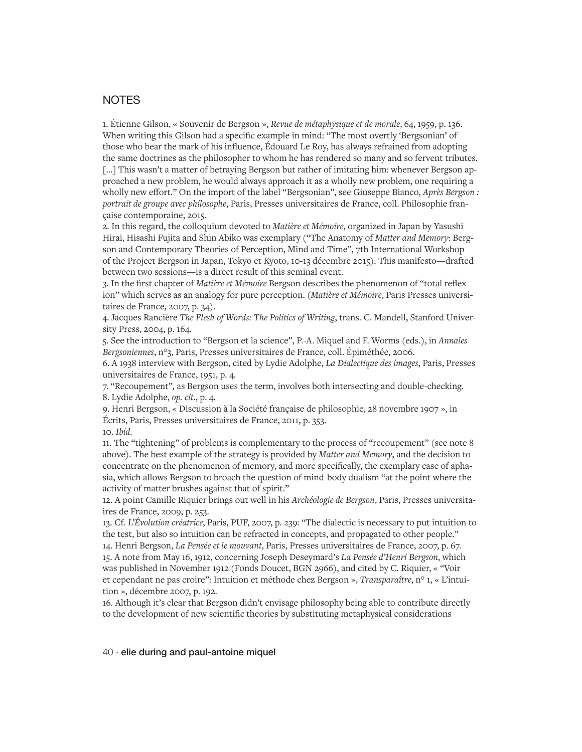#### **NOTES**

1. Étienne Gilson, « Souvenir de Bergson », *Revue de métaphysique et de morale*, 64, 1959, p. 136. When writing this Gilson had a specific example in mind: "The most overtly 'Bergsonian' of those who bear the mark of his influence, Édouard Le Roy, has always refrained from adopting the same doctrines as the philosopher to whom he has rendered so many and so fervent tributes. [...] This wasn't a matter of betraying Bergson but rather of imitating him: whenever Bergson approached a new problem, he would always approach it as a wholly new problem, one requiring a wholly new effort." On the import of the label "Bergsonian", see Giuseppe Bianco, *Après Bergson : portrait de groupe avec philosophe*, Paris, Presses universitaires de France, coll. Philosophie française contemporaine, 2015.

2. In this regard, the colloquium devoted to *Matière et Mémoire*, organized in Japan by Yasushi Hirai, Hisashi Fujita and Shin Abiko was exemplary ("The Anatomy of *Matter and Memory*: Bergson and Contemporary Theories of Perception, Mind and Time", 7th International Workshop of the Project Bergson in Japan, Tokyo et Kyoto, 10-13 décembre 2015). This manifesto—drafted between two sessions—is a direct result of this seminal event.

3. In the first chapter of *Matière et Mémoire* Bergson describes the phenomenon of "total reflexion" which serves as an analogy for pure perception. (*Matière et Mémoire*, Paris Presses universitaires de France, 2007, p. 34).

4. Jacques Rancière *The Flesh of Words: The Politics of Writing*, trans. C. Mandell, Stanford University Press, 2004, p. 164.

5. See the introduction to "Bergson et la science", P.-A. Miquel and F. Worms (eds.), in *Annales Bergsoniennes*, n°3, Paris, Presses universitaires de France, coll. Épiméthée, 2006.

6. A 1938 interview with Bergson, cited by Lydie Adolphe, *La Dialectique des images*, Paris, Presses universitaires de France, 1951, p. 4.

7. "Recoupement"*,* as Bergson uses the term, involves both intersecting and double-checking. 8. Lydie Adolphe, *op. cit*., p. 4.

9. Henri Bergson, « Discussion à la Société française de philosophie, 28 novembre 1907 », in Écrits, Paris, Presses universitaires de France, 2011, p. 353. 10. *Ibid.*

11. The "tightening" of problems is complementary to the process of "recoupement" (see note 8 above). The best example of the strategy is provided by *Matter and Memory*, and the decision to concentrate on the phenomenon of memory, and more specifically, the exemplary case of aphasia, which allows Bergson to broach the question of mind-body dualism "at the point where the activity of matter brushes against that of spirit."

12. A point Camille Riquier brings out well in his *Archéologie de Bergson*, Paris, Presses universitaires de France, 2009, p. 253.

13. Cf. *L'Évolution créatrice*, Paris, PUF, 2007, p. 239: "The dialectic is necessary to put intuition to the test, but also so intuition can be refracted in concepts, and propagated to other people." 14. Henri Bergson, *La Pensée et le mouvant*, Paris, Presses universitaires de France, 2007, p. 67. 15. A note from May 16, 1912, concerning Joseph Deseymard's *La Pensée d'Henri Bergson*, which was published in November 1912 (Fonds Doucet, BGN 2966), and cited by C. Riquier, « "Voir et cependant ne pas croire": Intuition et méthode chez Bergson », *Transparaître*, n° 1, « L'intuition », décembre 2007, p. 192.

16. Although it's clear that Bergson didn't envisage philosophy being able to contribute directly to the development of new scientific theories by substituting metaphysical considerations

#### 40 · elie during and paul-antoine miquel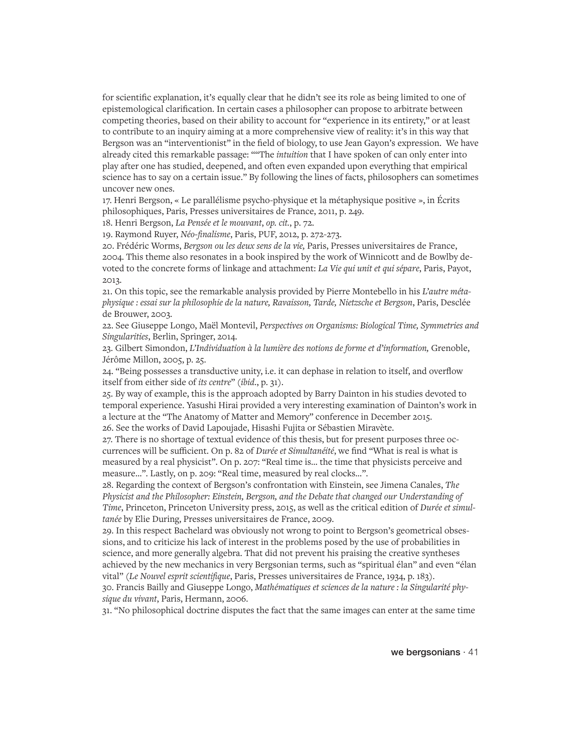for scientific explanation, it's equally clear that he didn't see its role as being limited to one of epistemological clarification. In certain cases a philosopher can propose to arbitrate between competing theories, based on their ability to account for "experience in its entirety," or at least to contribute to an inquiry aiming at a more comprehensive view of reality: it's in this way that Bergson was an "interventionist" in the field of biology, to use Jean Gayon's expression. We have already cited this remarkable passage: ""The *intuition* that I have spoken of can only enter into play after one has studied, deepened, and often even expanded upon everything that empirical science has to say on a certain issue." By following the lines of facts, philosophers can sometimes uncover new ones.

17. Henri Bergson, « Le parallélisme psycho-physique et la métaphysique positive », in Écrits philosophiques, Paris, Presses universitaires de France, 2011, p. 249.

18. Henri Bergson, *La Pensée et le mouvant*, *op. cit.*, p. 72.

19. Raymond Ruyer, *Néo-finalisme*, Paris, PUF, 2012, p. 272-273.

20. Frédéric Worms, *Bergson ou les deux sens de la vie,* Paris, Presses universitaires de France, 2004. This theme also resonates in a book inspired by the work of Winnicott and de Bowlby devoted to the concrete forms of linkage and attachment: *La Vie qui unit et qui sépare*, Paris, Payot, 2013.

21. On this topic, see the remarkable analysis provided by Pierre Montebello in his *L'autre métaphysique : essai sur la philosophie de la nature, Ravaisson, Tarde, Nietzsche et Bergson*, Paris, Desclée de Brouwer, 2003.

22. See Giuseppe Longo, Maël Montevil, *Perspectives on Organisms: Biological Time, Symmetries and Singularities*, Berlin, Springer, 2014.

23. Gilbert Simondon, *L'Individuation à la lumière des notions de forme et d'information,* Grenoble, Jérôme Millon, 2005, p. 25.

24. "Being possesses a transductive unity, i.e. it can dephase in relation to itself, and overflow itself from either side of *its centre*" (*ibid*., p. 31).

25. By way of example, this is the approach adopted by Barry Dainton in his studies devoted to temporal experience. Yasushi Hirai provided a very interesting examination of Dainton's work in a lecture at the "The Anatomy of Matter and Memory" conference in December 2015. 26. See the works of David Lapoujade, Hisashi Fujita or Sébastien Miravète.

27. There is no shortage of textual evidence of this thesis, but for present purposes three occurrences will be sufficient. On p. 82 of *Durée et Simultanéité*, we find "What is real is what is measured by a real physicist". On p. 207: "Real time is… the time that physicists perceive and measure…". Lastly, on p. 209: "Real time, measured by real clocks…".

28. Regarding the context of Bergson's confrontation with Einstein, see Jimena Canales, *The Physicist and the Philosopher: Einstein, Bergson, and the Debate that changed our Understanding of Time*, Princeton, Princeton University press, 2015, as well as the critical edition of *Durée et simultanée* by Elie During, Presses universitaires de France, 2009.

29. In this respect Bachelard was obviously not wrong to point to Bergson's geometrical obsessions, and to criticize his lack of interest in the problems posed by the use of probabilities in science, and more generally algebra. That did not prevent his praising the creative syntheses achieved by the new mechanics in very Bergsonian terms, such as "spiritual élan" and even "élan vital" (*Le Nouvel esprit scientifique*, Paris, Presses universitaires de France, 1934, p. 183).

30. Francis Bailly and Giuseppe Longo, *Mathématiques et sciences de la nature : la Singularité physique du vivant*, Paris, Hermann, 2006.

31. "No philosophical doctrine disputes the fact that the same images can enter at the same time